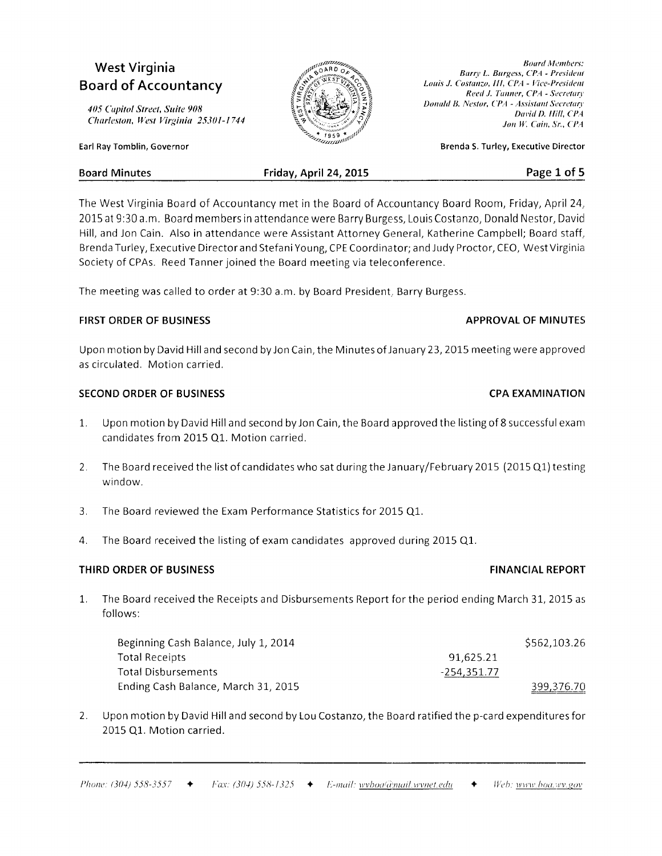# West Virginia Board of Accountancy

Earl Ray Tomblin, Govennor

405 Cupitol Street, Suite 908 Charleston, West Virginia 25301-1744

**Board Members:** Barry L. Burgess, CPA - President Louis J. Costanzo, III, CPA - Vice-President Reed J. Tanner, CPA - Secretary Donald B. Nestor, CPA - Assistant Secretary David D. Hill, CPA Jon W. Cain, Sr., CPA

Brenda S. Turley, Executive Director

| <b>Board Minutes</b> | Friday, April 24, 2015 | Page 1 of 5 |
|----------------------|------------------------|-------------|
|                      |                        |             |

The West Virginia Board of Accountancy met in the Board of Accountancy Board Room, Friday, April 24, 2015 at 9:30 a.m. Board members in attendance were Barry Burge ss, Louis Costanzo, Donald Nestor, David Hill, and Jon Cain. Also in attendance were Assistant Attorney General, Katherine Campbell; Board staff, Brenda Turley, Executive Director and Stefani Young, CPE Coordinator; and Judy Proctor, CEO, West Virginia Society of CPAs. Reed Tanner joined the Board meeting via teleconference.

The meeting was called to order at 9:30 a.m. by Board President, Barry Burgess.

# FIRST ORDER OF BUSINESS **APPROVAL OF MINUTES**

Upon motion by David Hill and second by Jon Cain, the Minutes of January 23, 2015 meeting were approved as circulated. Motion carried.

# SECOND ORDER OF BUSINESS CPA EXAMINATION

- Upon motion by David Hill and second by Jon Cain, the Board approved the listing of 8 successful exam  $1.$ candidates from 2015 Q1. Motion carried.
- $2.$ The Board received the list of candidates who sat during the January/February 2015 (2015 Q1) testing window.
- 3. The Board reviewed the Exam Performance Statistics for 2015 Q1.
- 4. The Board received the listing of exam candidates approved during 2015 Q1

# THIRD ORDER OF BUSINESS FINANCIAL REPORT

1. The Board received the Receipts and Disbursements Report for the period ending March 31, 2015 as follows:

| Beginning Cash Balance, July 1, 2014 |             | \$562,103.26 |
|--------------------------------------|-------------|--------------|
| <b>Total Receipts</b>                | 91.625.21   |              |
| Total Disbursements                  | -254,351.77 |              |
| Ending Cash Balance, March 31, 2015  |             | 399,376.70   |

2. Upon motion by David Hill and second by Lou Costanzo, the Board ratified the p-card expenditures for 2015 Q1. Motion carried.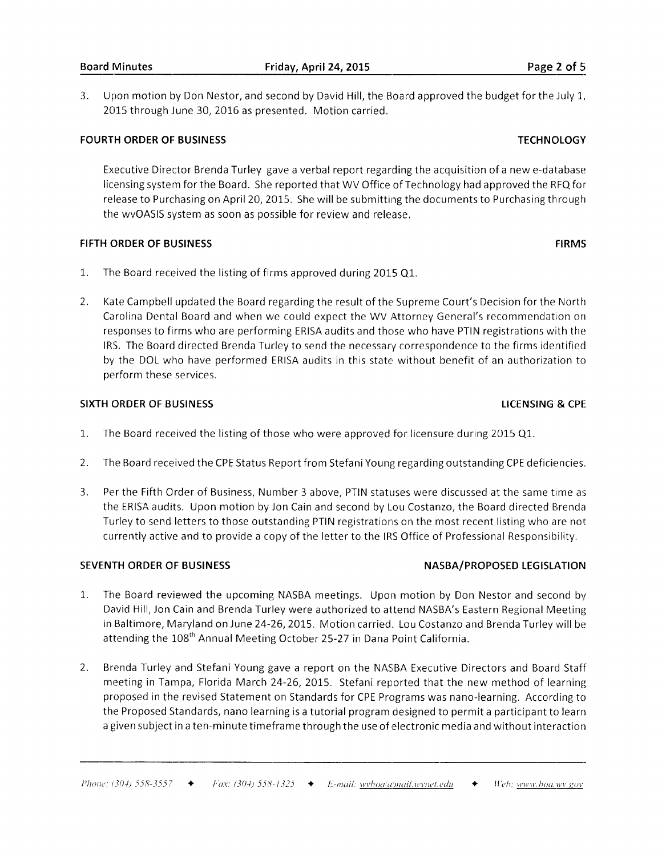3. Upon motion by Don Nestor, and second by David Hill, the Board approved the budget for the July 1, 2015 through June 30, 2016 as presented. Motion carried.

### FOURTH ORDER OF BUSINESS TECHNOLOGY TECHNOLOGY

Executive Director Brenda Turley gave a verbal report regarding the acquisition of a new e-database licensing system for the Board. She reported that WV Office of Technology had approved the RFQ for release to Purchasing on April 20, 2015. She will be submitting the documents to Purchasing through the wvOASlS system as soon as possible for review and release.

### FIFTH ORDER OF BUSINESS FIRMS FIRMS

- 1. The Board received the listing of firms approved during 2015 Q1.
- $2.$ Kate Campbell updated the Board regarding the result of the Supreme Court's Decision for the North Carolina Dental Board and when we could expect the WV Attorney General's recommendation on responses to firms who are performing ERISA audits and those who have PTIN registrations with the IRS. The Board directed Brenda Turley to send the necessary correspondence to the firms identified by the DOL who have performed ERISA audits in this state without benefit of an authorization to perform these services.

### SIXTH ORDER OF BUSINESS LICENSING & CPE

- The Board received the listing of those who were approved for licensure during 2015 Q1. 1.
- The Board received the CPE Status Report from Stefani Young regarding outstanding CPE deficiencies. a L.
- Per the Fifth Order of Business, Number 3 above, PTIN statuses were discussed at the same time as the ERISA audits. Upon motion by Jon Cain and second by Lou Costanzo, the Board directed Brenda Turley to send letters to those outstanding PTIN registrations on the most recent listing who are not currently active and to provide a copy of the letter to the IRS Office of Professional Responsibility. 3.

- 1. The Board reviewed the upcoming NASBA meetings. Upon motion by Don Nestor and second by David Hill, Jon Cain and Brenda Turley were authorized to attend NASBA's Eastern Regional Meeting in Baltimore, Maryland on June 24-26, 2015. Motion carried. Lou Costanzo and Brenda Turley will be attending the 108<sup>th</sup> Annual Meeting October 25-27 in Dana Point California.
- Brenda Turley and Stefani Young gave a report on the NASBA Executive Directors and Board Staff meeting in Tampa, Florida March 24-26,2015. Stefani reported that the new method of learning proposed in the revised Statement on Standards for CPE Programs was nano-learning. According to the Proposed Standards, nano learning is a tutorial program designed to permit a participant to learn a given subject in a ten-minute timeframe through the use of electronic media and without interaction 2.

### SEVENTH ORDER OF BUSINESS NASBA/PROPOSED LEGISLATION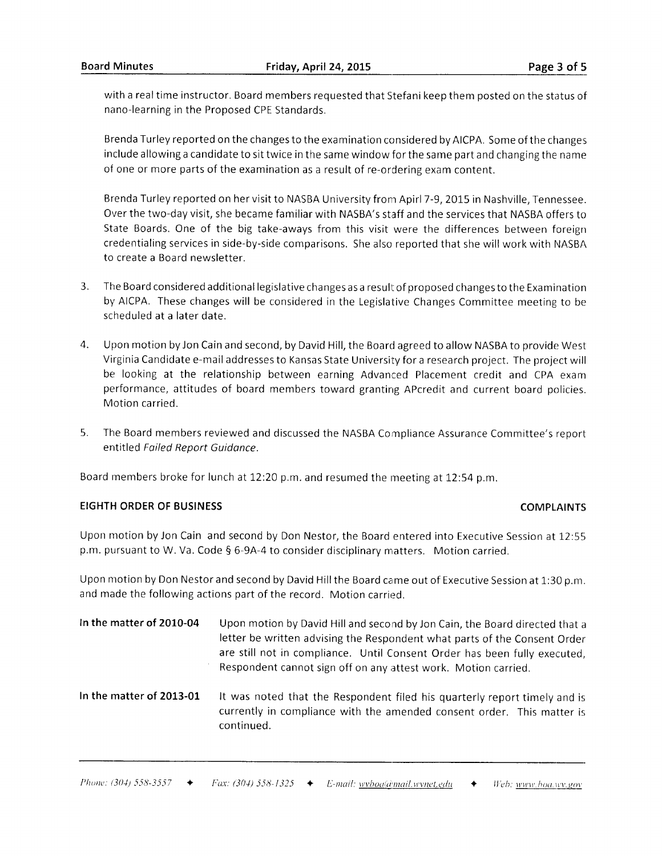with a real time instructor. Board members requested that Stefani keep them posted on the status of nano-learning in the Proposed CPE Standards.

Brenda Turley reported on the changes to the examination considered by AICPA. Some of the changes include allowing a candidate to sit twice in the same window for the sarne part and changing the name of one or more parts of the examination as a result of re-ordering exam content.

Brenda Turley reported on her visit to NASBA University from Apirl 7-9, 2015 in Nashville, Tennessee. Over the two-day visit, she became familiar with NASBA's staff and the services that NASBA offers to State Boards. One of the big take-aways from this visit were the differences between foreign credentialing services in side-by-side comparisons. She also reported that she will work with NASBA to create a Board newsletter.

- The Board considered additional legislative changes as a resull: of proposed changes to the Examination  $3.$ by AICPA. These changes will be considered in the Legislative Changes Committee meeting to be scheduled at a later date.
- A Upon motion by Jon Cain and second, by David Hill, the Board agreed to allow NASBA to provide West Virginia Candidate e-mailaddresses to Kansas State University for a research project. The project will be looking at the relationship between earning Advanced Placement credit and CPA exam performance, attitudes of board members toward granting APcredit and current board policies. Motion carried.
- $5<sub>1</sub>$ The Board members reviewed and discussed the NASBA Compliance Assurance Committee's report entitled Failed Report Guidance.

Board members broke for lunch at 12:20 p.m. and resumed the meeting at 12:54 p.m.

# EIGHTH ORDER OF BUSINESS COMPLAINTS

Upon motion by Jon Cain and second by Don Nestor, the Board entered into Executive Session at 12:55 p.m. pursuant to W. Va. Code § 6-9A-4 to consider disciplinary matters. Motion carried.

Upon motion by Don Nestor and second by David Hill the Board came out of Executive Session at 1:30 p.m. and made the following actions part of the record. Motion carried.

- In the matter of 2010-04 Upon motion by David Hill and second by Jon Cain, the Board directed that a letter be written advising the Respondent what parts of the Consent Order are still not in compliance. Until Consent Order has been fully executed, Respondent cannot sign off on any attest work. Motion carried.
- In the matter of 2013-01 H was noted that the Respondent filed his quarterly report timely and is currently in compliance with the amended consent order. This matter is continued.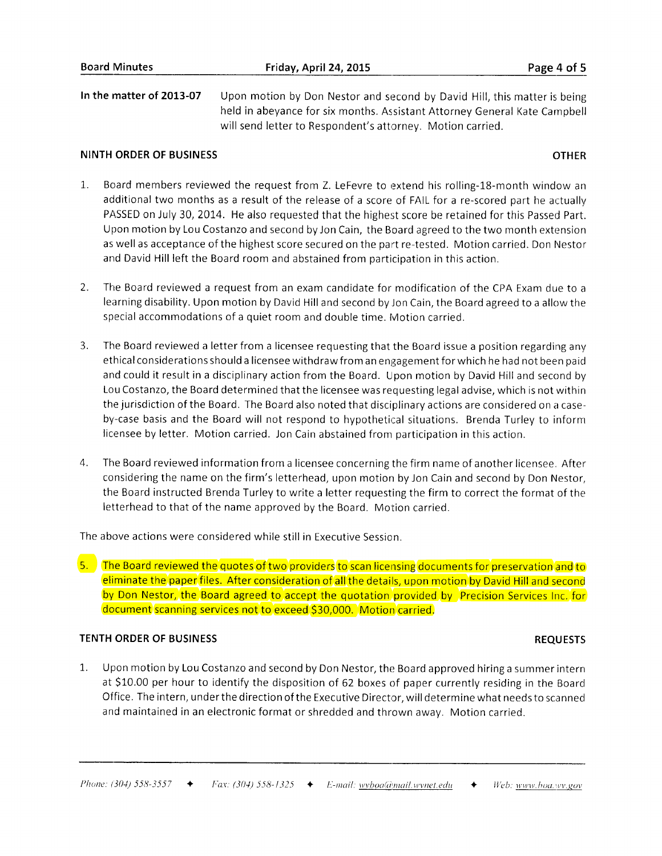In the matter of 2013-07 Upon motion by Don Nestor and second by David Hill, this matter is being held in abeyance for six months. Assistant Attorney General Kate Campbell will send letter to Respondent's attorney. Motion carried.

### NINTH ORDER OF BUSINESS OTHER

- t. Board members reviewed the request from Z. LeFevre to extend his rolling-18-month window an additional two months as a result of the release of a score of FAIL for a re-scored part he actually PASSED on July 30, 2014. He also requested that the highest score be retained for this Passed Part. Upon motion by Lou Costanzo and second byJon Cain, the Board agreed to the two month extension as well as acceptance of the highest score secured on the part re-tested. Motion carried. Don Nestor and David Hill left the Board room and abstained from participation in this action.
- $2.$ The Board reviewed a request from an exam candidate for modification of the CPA Exam due to a learning disability. Upon motion by David Hill and second by Jon Cain, the Board agreed to a allow the special accommodations of a quiet room and double time. Motion carried.
- 3. The Board reviewed a letter from a licensee requesting that the Board issue a position regarding any ethical considerations should a licensee withdraw from an engagement for which he had not been paid and could it result in a disciplinary action from the Board. Upon motion by David Hill and second by Lou Costanzo, the Board determined that the licensee was requesting legal advise, which is not within the jurisdiction of the Board. The Board also noted that disciplinary actions are considered on a caseby-case basis and the Board will not respond to hypothetical situations. Brenda Turley to inform licensee by letter. Motion carried. Jon Cain abstained from participation in this action.
- The Board reviewed information from a licensee concerning the firm name of another licensee. Aften considering the name on the firm's letterhead, upon motion byJon Cain and second by Don Nestor, the Board instructed Brenda Turley to write a letter requesting the firm to correct the format of the letterhead to that of the name approved by the Board. Motion carried. 4.

The above actions were considered while still in Executive Session

5. The Board reviewed the quotes of two providers to scan licensing documents for preservation and to eliminate the paper files. After consideration of all the details, upon motion by David Hill and second by Don Nestor, the Board agreed to accept the quotation provided by Precision Services Inc. for document scanning services not to exceed \$30,000. Motion carried.

### TENTH ORDER OF BUSINESS REQUESTS

1,. Upon motion by Lou Costanzo and second by Don Nestor, the Board approved hiring a summer intern at \$10.00 per hour to identify the disposition of 62 boxes of paper currently residing in the Board Office. The intern, under the direction of the Executive Director, will determine what needs to scanned and maintained in an electronic format or shredded and thrown awav. Motion carried.